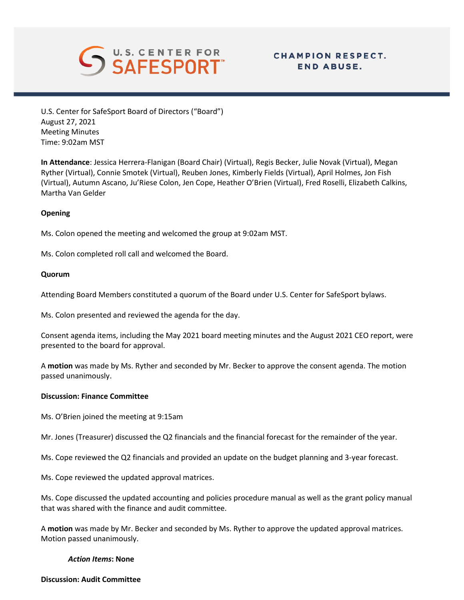

# **CHAMPION RESPECT. END ABUSE.**

U.S. Center for SafeSport Board of Directors ("Board") August 27, 2021 Meeting Minutes Time: 9:02am MST

**In Attendance**: Jessica Herrera-Flanigan (Board Chair) (Virtual), Regis Becker, Julie Novak (Virtual), Megan Ryther (Virtual), Connie Smotek (Virtual), Reuben Jones, Kimberly Fields (Virtual), April Holmes, Jon Fish (Virtual), Autumn Ascano, Ju'Riese Colon, Jen Cope, Heather O'Brien (Virtual), Fred Roselli, Elizabeth Calkins, Martha Van Gelder

## **Opening**

Ms. Colon opened the meeting and welcomed the group at 9:02am MST.

Ms. Colon completed roll call and welcomed the Board.

## **Quorum**

Attending Board Members constituted a quorum of the Board under U.S. Center for SafeSport bylaws.

Ms. Colon presented and reviewed the agenda for the day.

Consent agenda items, including the May 2021 board meeting minutes and the August 2021 CEO report, were presented to the board for approval.

A **motion** was made by Ms. Ryther and seconded by Mr. Becker to approve the consent agenda. The motion passed unanimously.

#### **Discussion: Finance Committee**

Ms. O'Brien joined the meeting at 9:15am

Mr. Jones (Treasurer) discussed the Q2 financials and the financial forecast for the remainder of the year.

- Ms. Cope reviewed the Q2 financials and provided an update on the budget planning and 3-year forecast.
- Ms. Cope reviewed the updated approval matrices.

Ms. Cope discussed the updated accounting and policies procedure manual as well as the grant policy manual that was shared with the finance and audit committee.

A **motion** was made by Mr. Becker and seconded by Ms. Ryther to approve the updated approval matrices. Motion passed unanimously.

#### *Action Items***: None**

## **Discussion: Audit Committee**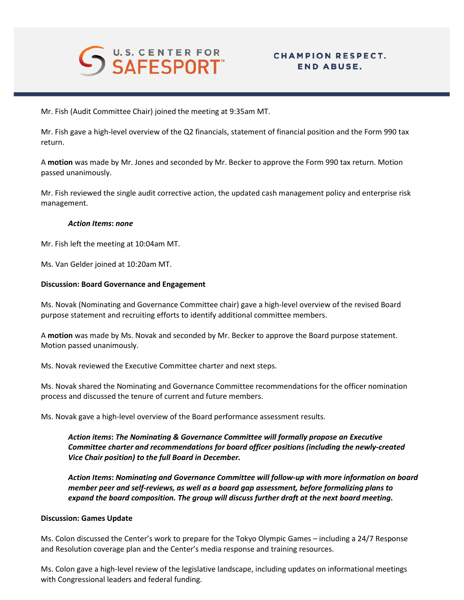

# **CHAMPION RESPECT. END ABUSE.**

Mr. Fish (Audit Committee Chair) joined the meeting at 9:35am MT.

Mr. Fish gave a high-level overview of the Q2 financials, statement of financial position and the Form 990 tax return.

A **motion** was made by Mr. Jones and seconded by Mr. Becker to approve the Form 990 tax return. Motion passed unanimously.

Mr. Fish reviewed the single audit corrective action, the updated cash management policy and enterprise risk management.

#### *Action Items***:** *none*

Mr. Fish left the meeting at 10:04am MT.

Ms. Van Gelder joined at 10:20am MT.

## **Discussion: Board Governance and Engagement**

Ms. Novak (Nominating and Governance Committee chair) gave a high-level overview of the revised Board purpose statement and recruiting efforts to identify additional committee members.

A **motion** was made by Ms. Novak and seconded by Mr. Becker to approve the Board purpose statement. Motion passed unanimously.

Ms. Novak reviewed the Executive Committee charter and next steps.

Ms. Novak shared the Nominating and Governance Committee recommendations for the officer nomination process and discussed the tenure of current and future members.

Ms. Novak gave a high-level overview of the Board performance assessment results.

*Action items***:** *The Nominating & Governance Committee will formally propose an Executive Committee charter and recommendations for board officer positions (including the newly-created Vice Chair position) to the full Board in December.*

*Action Items***:** *Nominating and Governance Committee will follow-up with more information on board member peer and self-reviews, as well as a board gap assessment, before formalizing plans to expand the board composition. The group will discuss further draft at the next board meeting.*

#### **Discussion: Games Update**

Ms. Colon discussed the Center's work to prepare for the Tokyo Olympic Games – including a 24/7 Response and Resolution coverage plan and the Center's media response and training resources.

Ms. Colon gave a high-level review of the legislative landscape, including updates on informational meetings with Congressional leaders and federal funding.